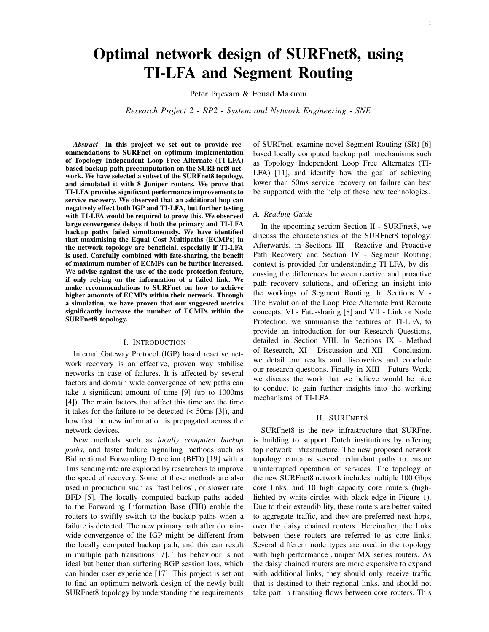# Optimal network design of SURFnet8, using TI-LFA and Segment Routing

Peter Prjevara & Fouad Makioui

*Research Project 2 - RP2 - System and Network Engineering - SNE*

*Abstract*—In this project we set out to provide recommendations to SURFnet on optimum implementation of Topology Independent Loop Free Alternate (TI-LFA) based backup path precomputation on the SURFnet8 network. We have selected a subset of the SURFnet8 topology, and simulated it with 8 Juniper routers. We prove that TI-LFA provides significant performance improvements to service recovery. We observed that an additional hop can negatively effect both IGP and TI-LFA, but further testing with TI-LFA would be required to prove this. We observed large convergence delays if both the primary and TI-LFA backup paths failed simultaneously. We have identified that maximising the Equal Cost Multipaths (ECMPs) in the network topology are beneficial, especially if TI-LFA is used. Carefully combined with fate-sharing, the benefit of maximum number of ECMPs can be further increased. We advise against the use of the node protection feature, if only relying on the information of a failed link. We make recommendations to SURFnet on how to achieve higher amounts of ECMPs within their network. Through a simulation, we have proven that our suggested metrics significantly increase the number of ECMPs within the SURFnet8 topology.

#### I. INTRODUCTION

<span id="page-0-1"></span>Internal Gateway Protocol (IGP) based reactive network recovery is an effective, proven way stabilise networks in case of failures. It is affected by several factors and domain wide convergence of new paths can take a significant amount of time [\[9\]](#page-10-0) (up to 1000ms [\[4\]](#page-10-1)). The main factors that affect this time are the time it takes for the failure to be detected  $(< 50 \text{ms } [3])$  $(< 50 \text{ms } [3])$  $(< 50 \text{ms } [3])$ , and how fast the new information is propagated across the network devices.

New methods such as *locally computed backup paths*, and faster failure signalling methods such as Bidirectional Forwarding Detection (BFD) [\[19\]](#page-10-3) with a 1ms sending rate are explored by researchers to improve the speed of recovery. Some of these methods are also used in production such as "fast hellos", or slower rate BFD [\[5\]](#page-10-4). The locally computed backup paths added to the Forwarding Information Base (FIB) enable the routers to swiftly switch to the backup paths when a failure is detected. The new primary path after domainwide convergence of the IGP might be different from the locally computed backup path, and this can result in multiple path transitions [\[7\]](#page-10-5). This behaviour is not ideal but better than suffering BGP session loss, which can hinder user experience [\[17\]](#page-10-6). This project is set out to find an optimum network design of the newly built SURFnet8 topology by understanding the requirements of SURFnet, examine novel Segment Routing (SR) [\[6\]](#page-10-7) based locally computed backup path mechanisms such as Topology Independent Loop Free Alternates (TI-LFA) [\[11\]](#page-10-8), and identify how the goal of achieving lower than 50ms service recovery on failure can best be supported with the help of these new technologies.

## *A. Reading Guide*

In the upcoming section Section [II](#page-0-0) - SURFnet8, we discuss the characteristics of the SURFnet8 topology. Afterwards, in Sections [III](#page-1-0) - Reactive and Proactive Path Recovery and Section [IV](#page-1-1) - Segment Routing, context is provided for understanding TI-LFA, by discussing the differences between reactive and proactive path recovery solutions, and offering an insight into the workings of Segment Routing. In Sections [V](#page-1-2) - The Evolution of the Loop Free Alternate Fast Reroute concepts, [VI](#page-2-0) - Fate-sharing [\[8\]](#page-10-9) and [VII](#page-3-0) - Link or Node Protection, we summarise the features of TI-LFA, to provide an introduction for our Research Questions, detailed in Section [VIII.](#page-3-1) In Sections [IX](#page-3-2) - Method of Research, [XI](#page-8-0) - Discussion and [XII](#page-9-0) - Conclusion, we detail our results and discoveries and conclude our research questions. Finally in [XIII](#page-9-1) - Future Work, we discuss the work that we believe would be nice to conduct to gain further insights into the working mechanisms of TI-LFA.

#### II. SURFNET8

<span id="page-0-0"></span>SURFnet8 is the new infrastructure that SURFnet is building to support Dutch institutions by offering top network infrastructure. The new proposed network topology contains several redundant paths to ensure uninterrupted operation of services. The topology of the new SURFnet8 network includes multiple 100 Gbps core links, and 10 high capacity core routers (highlighted by white circles with black edge in Figure [1\)](#page-1-3). Due to their extendibility, these routers are better suited to aggregate traffic, and they are preferred next hops, over the daisy chained routers. Hereinafter, the links between these routers are referred to as core links. Several different node types are used in the topology with high performance Juniper MX series routers. As the daisy chained routers are more expensive to expand with additional links, they should only receive traffic that is destined to their regional links, and should not take part in transiting flows between core routers. This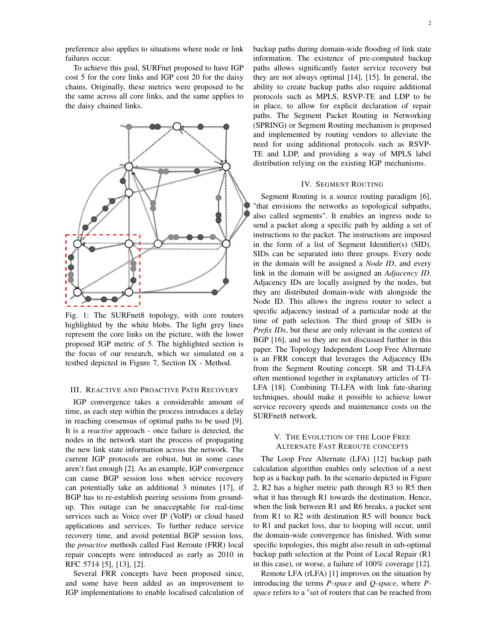preference also applies to situations where node or link failures occur.

To achieve this goal, SURFnet proposed to have IGP cost 5 for the core links and IGP cost 20 for the daisy chains. Originally, these metrics were proposed to be the same across all core links, and the same applies to the daisy chained links.

<span id="page-1-3"></span>

Fig. 1: The SURFnet8 topology, with core routers highlighted by the white blobs. The light grey lines represent the core links on the picture, with the lower proposed IGP metric of 5. The highlighted section is the focus of our research, which we simulated on a testbed depicted in Figure [7,](#page-4-0) Section [IX](#page-3-2) - Method.

#### <span id="page-1-0"></span>III. REACTIVE AND PROACTIVE PATH RECOVERY

IGP convergence takes a considerable amount of time, as each step within the process introduces a delay in reaching consensus of optimal paths to be used [\[9\]](#page-10-0). It is a *reactive* approach - once failure is detected, the nodes in the network start the process of propagating the new link state information across the network. The current IGP protocols are robust, but in some cases aren't fast enough [\[2\]](#page-10-10). As an example, IGP convergence can cause BGP session loss when service recovery can potentially take an additional 3 minutes [\[17\]](#page-10-6), if BGP has to re-establish peering sessions from groundup. This outage can be unacceptable for real-time services such as Voice over IP (VoIP) or cloud based applications and services. To further reduce service recovery time, and avoid potential BGP session loss, the *proactive* methods called Fast Reroute (FRR) local repair concepts were introduced as early as 2010 in RFC 5714 [\[5\]](#page-10-4), [\[13\]](#page-10-11), [\[2\]](#page-10-10).

Several FRR concepts have been proposed since, and some have been added as an improvement to IGP implementations to enable localised calculation of backup paths during domain-wide flooding of link state information. The existence of pre-computed backup paths allows significantly faster service recovery but they are not always optimal [\[14\]](#page-10-12), [\[15\]](#page-10-13). In general, the ability to create backup paths also require additional protocols such as MPLS, RSVP-TE and LDP to be in place, to allow for explicit declaration of repair paths. The Segment Packet Routing in Networking (SPRING) or Segment Routing mechanism is proposed and implemented by routing vendors to alleviate the need for using additional protocols such as RSVP-TE and LDP, and providing a way of MPLS label distribution relying on the existing IGP mechanisms.

## IV. SEGMENT ROUTING

<span id="page-1-1"></span>Segment Routing is a source routing paradigm [\[6\]](#page-10-7), "that envisions the networks as topological subpaths, also called segments". It enables an ingress node to send a packet along a specific path by adding a set of instructions to the packet. The instructions are imposed in the form of a list of Segment Identifier(s) (SID). SIDs can be separated into three groups. Every node in the domain will be assigned a *Node ID*, and every link in the domain will be assigned an *Adjacency ID*. Adjacency IDs are locally assigned by the nodes, but they are distributed domain-wide with alongside the Node ID. This allows the ingress router to select a specific adjacency instead of a particular node at the time of path selection. The third group of SIDs is *Prefix IDs*, but these are only relevant in the context of BGP [\[16\]](#page-10-14), and so they are not discussed further in this paper. The Topology Independent Loop Free Alternate is an FRR concept that leverages the Adjacency IDs from the Segment Routing concept. SR and TI-LFA often mentioned together in explanatory articles of TI-LFA [\[18\]](#page-10-15). Combining TI-LFA with link fate-sharing techniques, should make it possible to achieve lower service recovery speeds and maintenance costs on the SURFnet8 network.

# <span id="page-1-2"></span>V. THE EVOLUTION OF THE LOOP FREE ALTERNATE FAST REROUTE CONCEPTS

The Loop Free Alternate (LFA) [\[12\]](#page-10-16) backup path calculation algorithm enables only selection of a next hop as a backup path. In the scenario depicted in Figure [2,](#page-2-1) R2 has a higher metric path through R3 to R5 then what it has through R1 towards the destination. Hence, when the link between R1 and R6 breaks, a packet sent from R1 to R2 with destination R5 will bounce back to R1 and packet loss, due to looping will occur, until the domain-wide convergence has finished. With some specific topologies, this might also result in sub-optimal backup path selection at the Point of Local Repair (R1 in this case), or worse, a failure of 100% coverage [\[12\]](#page-10-16).

Remote LFA (rLFA) [\[1\]](#page-10-17) improves on the situation by introducing the terms *P-space* and *Q-space*, where *Pspace* refers to a "set of routers that can be reached from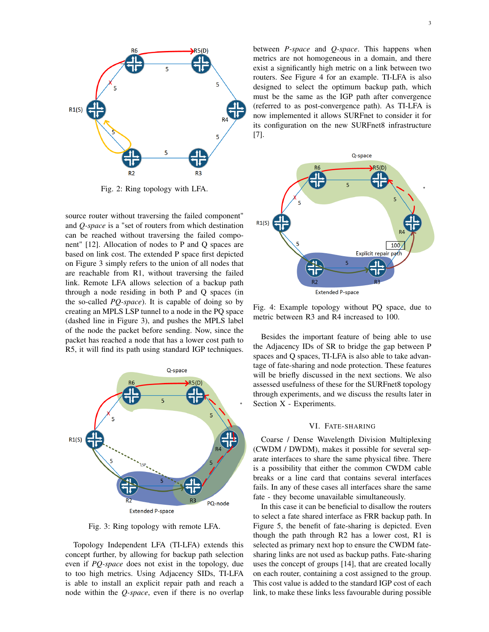<span id="page-2-1"></span>

Fig. 2: Ring topology with LFA.

source router without traversing the failed component" and *Q-space* is a "set of routers from which destination can be reached without traversing the failed component" [\[12\]](#page-10-16). Allocation of nodes to P and Q spaces are based on link cost. The extended P space first depicted on Figure [3](#page-2-2) simply refers to the union of all nodes that are reachable from R1, without traversing the failed link. Remote LFA allows selection of a backup path through a node residing in both P and Q spaces (in the so-called *PQ-space*). It is capable of doing so by creating an MPLS LSP tunnel to a node in the PQ space (dashed line in Figure [3\)](#page-2-2), and pushes the MPLS label of the node the packet before sending. Now, since the packet has reached a node that has a lower cost path to R5, it will find its path using standard IGP techniques.

<span id="page-2-2"></span>

Fig. 3: Ring topology with remote LFA.

Topology Independent LFA (TI-LFA) extends this concept further, by allowing for backup path selection even if *PQ-space* does not exist in the topology, due to too high metrics. Using Adjacency SIDs, TI-LFA is able to install an explicit repair path and reach a node within the *Q-space*, even if there is no overlap between *P-space* and *Q-space*. This happens when metrics are not homogeneous in a domain, and there exist a significantly high metric on a link between two routers. See Figure [4](#page-2-3) for an example. TI-LFA is also designed to select the optimum backup path, which must be the same as the IGP path after convergence (referred to as post-convergence path). As TI-LFA is now implemented it allows SURFnet to consider it for its configuration on the new SURFnet8 infrastructure [\[7\]](#page-10-5).

<span id="page-2-3"></span>

Fig. 4: Example topology without PQ space, due to metric between R3 and R4 increased to 100.

Besides the important feature of being able to use the Adjacency IDs of SR to bridge the gap between P spaces and Q spaces, TI-LFA is also able to take advantage of fate-sharing and node protection. These features will be briefly discussed in the next sections. We also assessed usefulness of these for the SURFnet8 topology through experiments, and we discuss the results later in Section [X](#page-4-1) - Experiments.

#### VI. FATE-SHARING

<span id="page-2-0"></span>Coarse / Dense Wavelength Division Multiplexing (CWDM / DWDM), makes it possible for several separate interfaces to share the same physical fibre. There is a possibility that either the common CWDM cable breaks or a line card that contains several interfaces fails. In any of these cases all interfaces share the same fate - they become unavailable simultaneously.

In this case it can be beneficial to disallow the routers to select a fate shared interface as FRR backup path. In Figure [5,](#page-3-3) the benefit of fate-sharing is depicted. Even though the path through R2 has a lower cost, R1 is selected as primary next hop to ensure the CWDM fatesharing links are not used as backup paths. Fate-sharing uses the concept of groups [\[14\]](#page-10-12), that are created locally on each router, containing a cost assigned to the group. This cost value is added to the standard IGP cost of each link, to make these links less favourable during possible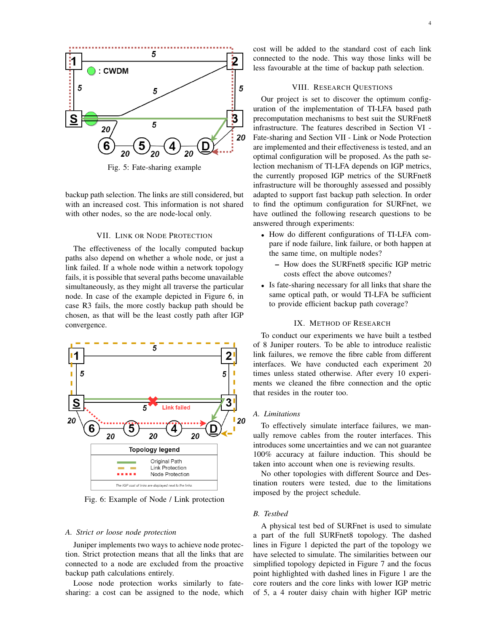<span id="page-3-3"></span>

Fig. 5: Fate-sharing example

backup path selection. The links are still considered, but with an increased cost. This information is not shared with other nodes, so the are node-local only.

#### VII. LINK OR NODE PROTECTION

<span id="page-3-0"></span>The effectiveness of the locally computed backup paths also depend on whether a whole node, or just a link failed. If a whole node within a network topology fails, it is possible that several paths become unavailable simultaneously, as they might all traverse the particular node. In case of the example depicted in Figure [6,](#page-3-4) in case R3 fails, the more costly backup path should be chosen, as that will be the least costly path after IGP convergence.

<span id="page-3-4"></span>

Fig. 6: Example of Node / Link protection

#### *A. Strict or loose node protection*

Juniper implements two ways to achieve node protection. Strict protection means that all the links that are connected to a node are excluded from the proactive backup path calculations entirely.

Loose node protection works similarly to fatesharing: a cost can be assigned to the node, which cost will be added to the standard cost of each link connected to the node. This way those links will be less favourable at the time of backup path selection.

#### VIII. RESEARCH QUESTIONS

<span id="page-3-1"></span>Our project is set to discover the optimum configuration of the implementation of TI-LFA based path precomputation mechanisms to best suit the SURFnet8 infrastructure. The features described in Section [VI](#page-2-0) - Fate-sharing and Section [VII](#page-3-0) - Link or Node Protection are implemented and their effectiveness is tested, and an optimal configuration will be proposed. As the path selection mechanism of TI-LFA depends on IGP metrics, the currently proposed IGP metrics of the SURFnet8 infrastructure will be thoroughly assessed and possibly adapted to support fast backup path selection. In order to find the optimum configuration for SURFnet, we have outlined the following research questions to be answered through experiments:

- How do different configurations of TI-LFA compare if node failure, link failure, or both happen at the same time, on multiple nodes?
	- How does the SURFnet8 specific IGP metric costs effect the above outcomes?
- Is fate-sharing necessary for all links that share the same optical path, or would TI-LFA be sufficient to provide efficient backup path coverage?

#### IX. METHOD OF RESEARCH

<span id="page-3-2"></span>To conduct our experiments we have built a testbed of 8 Juniper routers. To be able to introduce realistic link failures, we remove the fibre cable from different interfaces. We have conducted each experiment 20 times unless stated otherwise. After every 10 experiments we cleaned the fibre connection and the optic that resides in the router too.

## <span id="page-3-5"></span>*A. Limitations*

To effectively simulate interface failures, we manually remove cables from the router interfaces. This introduces some uncertainties and we can not guarantee 100% accuracy at failure induction. This should be taken into account when one is reviewing results.

No other topologies with different Source and Destination routers were tested, due to the limitations imposed by the project schedule.

#### *B. Testbed*

A physical test bed of SURFnet is used to simulate a part of the full SURFnet8 topology. The dashed lines in Figure [1](#page-1-3) depicted the part of the topology we have selected to simulate. The similarities between our simplified topology depicted in Figure [7](#page-4-0) and the focus point highlighted with dashed lines in Figure [1](#page-1-3) are the core routers and the core links with lower IGP metric of 5, a 4 router daisy chain with higher IGP metric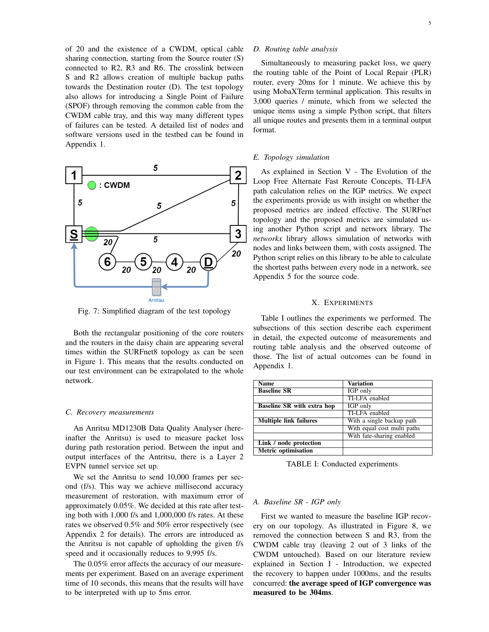of 20 and the existence of a CWDM, optical cable sharing connection, starting from the Source router (S) connected to R2, R3 and R6. The crosslink between S and R2 allows creation of multiple backup paths towards the Destination router (D). The test topology also allows for introducing a Single Point of Failure (SPOF) through removing the common cable from the CWDM cable tray, and this way many different types of failures can be tested. A detailed list of nodes and software versions used in the testbed can be found in Appendix 1.

<span id="page-4-0"></span>

Fig. 7: Simplified diagram of the test topology

Both the rectangular positioning of the core routers and the routers in the daisy chain are appearing several times within the SURFnet8 topology as can be seen in Figure [1.](#page-1-3) This means that the results conducted on our test environment can be extrapolated to the whole network.

#### *C. Recovery measurements*

An Anritsu MD1230B Data Quality Analyser (hereinafter the Anritsu) is used to measure packet loss during path restoration period. Between the input and output interfaces of the Antritsu, there is a Layer 2 EVPN tunnel service set up.

We set the Anritsu to send 10,000 frames per second (f/s). This way we achieve millisecond accuracy measurement of restoration, with maximum error of approximately 0.05%. We decided at this rate after testing both with 1,000 f/s and 1,000,000 f/s rates. At these rates we observed 0.5% and 50% error respectively (see Appendix 2 for details). The errors are introduced as the Anritsu is not capable of upholding the given f/s speed and it occasionally reduces to 9,995 f/s.

The 0.05% error affects the accuracy of our measurements per experiment. Based on an average experiment time of 10 seconds, this means that the results will have to be interpreted with up to 5ms error.

## *D. Routing table analysis*

Simultaneously to measuring packet loss, we query the routing table of the Point of Local Repair (PLR) router, every 20ms for 1 minute. We achieve this by using MobaXTerm terminal application. This results in 3,000 queries / minute, which from we selected the unique items using a simple Python script, that filters all unique routes and presents them in a terminal output format.

#### <span id="page-4-4"></span>*E. Topology simulation*

As explained in Section [V](#page-1-2) - The Evolution of the Loop Free Alternate Fast Reroute Concepts, TI-LFA path calculation relies on the IGP metrics. We expect the experiments provide us with insight on whether the proposed metrics are indeed effective. The SURFnet topology and the proposed metrics are simulated using another Python script and networx library. The *networkx* library allows simulation of networks with nodes and links between them, with costs assigned. The Python script relies on this library to be able to calculate the shortest paths between every node in a network, see Appendix 5 for the source code.

#### X. EXPERIMENTS

<span id="page-4-1"></span>Table [I](#page-4-2) outlines the experiments we performed. The subsections of this section describe each experiment in detail, the expected outcome of measurements and routing table analysis and the observed outcome of those. The list of actual outcomes can be found in Appendix 1.

<span id="page-4-2"></span>

| Name                              | Variation                   |
|-----------------------------------|-----------------------------|
| <b>Baseline SR</b>                | IGP only                    |
|                                   | TI-LFA enabled              |
| <b>Baseline SR</b> with extra hop | IGP only                    |
|                                   | TI-LFA enabled              |
| <b>Multiple link failures</b>     | With a single backup path   |
|                                   | With equal cost multi paths |
|                                   | With fate-sharing enabled   |
| Link / node protection            |                             |
| <b>Metric optimisation</b>        |                             |
|                                   |                             |

TABLE I: Conducted experiments

### <span id="page-4-3"></span>*A. Baseline SR - IGP only*

First we wanted to measure the baseline IGP recovery on our topology. As illustrated in Figure [8,](#page-5-0) we removed the connection between S and R3, from the CWDM cable tray (leaving 2 out of 3 links of the CWDM untouched). Based on our literature review explained in Section [I](#page-0-1) - Introduction, we expected the recovery to happen under 1000ms, and the results concurred: the average speed of IGP convergence was measured to be 304ms.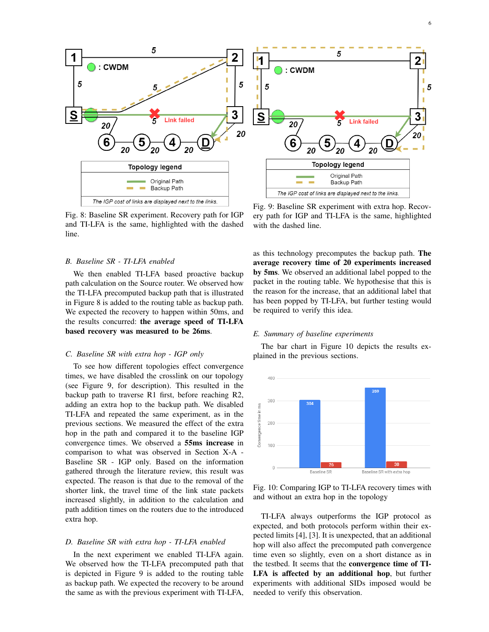<span id="page-5-0"></span>

Fig. 8: Baseline SR experiment. Recovery path for IGP and TI-LFA is the same, highlighted with the dashed line.

## <span id="page-5-4"></span>*B. Baseline SR - TI-LFA enabled*

We then enabled TI-LFA based proactive backup path calculation on the Source router. We observed how the TI-LFA precomputed backup path that is illustrated in Figure [8](#page-5-0) is added to the routing table as backup path. We expected the recovery to happen within 50ms, and the results concurred: the average speed of TI-LFA based recovery was measured to be 26ms.

## *C. Baseline SR with extra hop - IGP only*

To see how different topologies effect convergence times, we have disabled the crosslink on our topology (see Figure [9,](#page-5-1) for description). This resulted in the backup path to traverse R1 first, before reaching R2, adding an extra hop to the backup path. We disabled TI-LFA and repeated the same experiment, as in the previous sections. We measured the effect of the extra hop in the path and compared it to the baseline IGP convergence times. We observed a 55ms increase in comparison to what was observed in Section [X-A](#page-4-3) - Baseline SR - IGP only. Based on the information gathered through the literature review, this result was expected. The reason is that due to the removal of the shorter link, the travel time of the link state packets increased slightly, in addition to the calculation and path addition times on the routers due to the introduced extra hop.

## <span id="page-5-5"></span>*D. Baseline SR with extra hop - TI-LFA enabled*

In the next experiment we enabled TI-LFA again. We observed how the TI-LFA precomputed path that is depicted in Figure [9](#page-5-1) is added to the routing table as backup path. We expected the recovery to be around the same as with the previous experiment with TI-LFA,

<span id="page-5-1"></span>Fig. 9: Baseline SR experiment with extra hop. Recovery path for IGP and TI-LFA is the same, highlighted with the dashed line.

as this technology precomputes the backup path. The average recovery time of 20 experiments increased by 5ms. We observed an additional label popped to the packet in the routing table. We hypothesise that this is the reason for the increase, that an additional label that has been popped by TI-LFA, but further testing would be required to verify this idea.

## <span id="page-5-3"></span>*E. Summary of baseline experiments*

The bar chart in Figure [10](#page-5-2) depicts the results explained in the previous sections.

<span id="page-5-2"></span>

Fig. 10: Comparing IGP to TI-LFA recovery times with and without an extra hop in the topology

TI-LFA always outperforms the IGP protocol as expected, and both protocols perform within their expected limits [\[4\]](#page-10-1), [\[3\]](#page-10-2). It is unexpected, that an additional hop will also affect the precomputed path convergence time even so slightly, even on a short distance as in the testbed. It seems that the convergence time of TI-LFA is affected by an additional hop, but further experiments with additional SIDs imposed would be needed to verify this observation.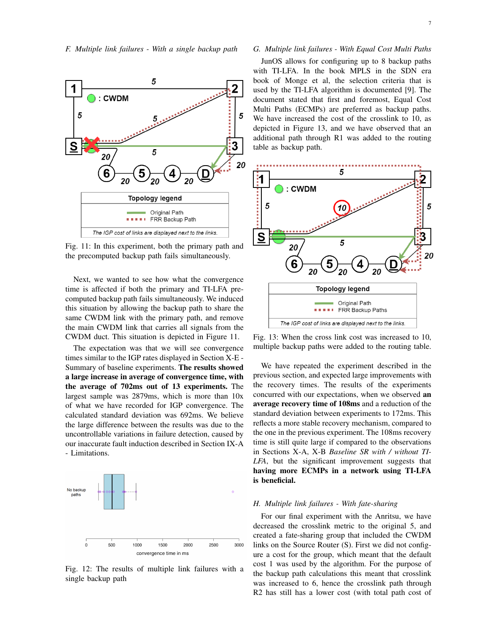<span id="page-6-2"></span><span id="page-6-0"></span>

Fig. 11: In this experiment, both the primary path and the precomputed backup path fails simultaneously.

Next, we wanted to see how what the convergence time is affected if both the primary and TI-LFA precomputed backup path fails simultaneously. We induced this situation by allowing the backup path to share the same CWDM link with the primary path, and remove the main CWDM link that carries all signals from the CWDM duct. This situation is depicted in Figure [11.](#page-6-0)

The expectation was that we will see convergence times similar to the IGP rates displayed in Section [X-E](#page-5-3) - Summary of baseline experiments. The results showed a large increase in average of convergence time, with the average of 702ms out of 13 experiments. The largest sample was 2879ms, which is more than 10x of what we have recorded for IGP convergence. The calculated standard deviation was 692ms. We believe the large difference between the results was due to the uncontrollable variations in failure detection, caused by our inaccurate fault induction described in Section [IX-A](#page-3-5) - Limitations.



Fig. 12: The results of multiple link failures with a single backup path

# <span id="page-6-3"></span>*G. Multiple link failures - With Equal Cost Multi Paths*

JunOS allows for configuring up to 8 backup paths with TI-LFA. In the book MPLS in the SDN era book of Monge et al, the selection criteria that is used by the TI-LFA algorithm is documented [\[9\]](#page-10-0). The document stated that first and foremost, Equal Cost Multi Paths (ECMPs) are preferred as backup paths. We have increased the cost of the crosslink to 10, as depicted in Figure [13,](#page-6-1) and we have observed that an additional path through R1 was added to the routing table as backup path.

<span id="page-6-1"></span>

Fig. 13: When the cross link cost was increased to 10, multiple backup paths were added to the routing table.

We have repeated the experiment described in the previous section, and expected large improvements with the recovery times. The results of the experiments concurred with our expectations, when we observed an average recovery time of 108ms and a reduction of the standard deviation between experiments to 172ms. This reflects a more stable recovery mechanism, compared to the one in the previous experiment. The 108ms recovery time is still quite large if compared to the observations in Sections [X-A,](#page-4-3) [X-B](#page-5-4) *Baseline SR with / without TI-LFA*, but the significant improvement suggests that having more ECMPs in a network using TI-LFA is beneficial.

#### *H. Multiple link failures - With fate-sharing*

For our final experiment with the Anritsu, we have decreased the crosslink metric to the original 5, and created a fate-sharing group that included the CWDM links on the Source Router (S). First we did not configure a cost for the group, which meant that the default cost 1 was used by the algorithm. For the purpose of the backup path calculations this meant that crosslink was increased to 6, hence the crosslink path through R2 has still has a lower cost (with total path cost of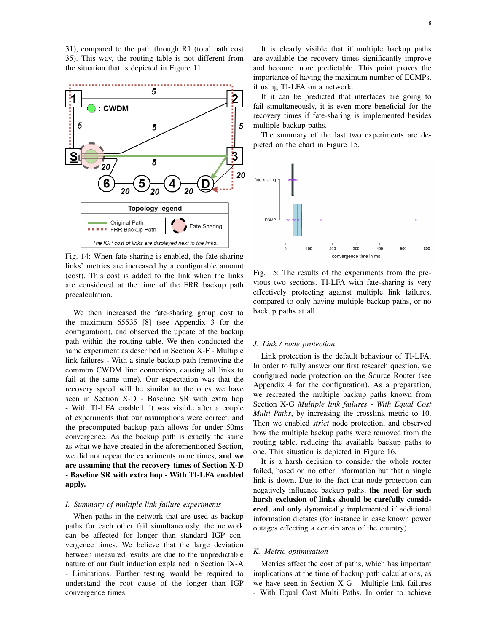31), compared to the path through R1 (total path cost 35). This way, the routing table is not different from the situation that is depicted in Figure [11.](#page-6-0)



Fig. 14: When fate-sharing is enabled, the fate-sharing links' metrics are increased by a configurable amount (cost). This cost is added to the link when the links are considered at the time of the FRR backup path precalculation.

We then increased the fate-sharing group cost to the maximum 65535 [\[8\]](#page-10-9) (see Appendix 3 for the configuration), and observed the update of the backup path within the routing table. We then conducted the same experiment as described in Section [X-F](#page-6-2) - Multiple link failures - With a single backup path (removing the common CWDM line connection, causing all links to fail at the same time). Our expectation was that the recovery speed will be similar to the ones we have seen in Section [X-D](#page-5-5) - Baseline SR with extra hop - With TI-LFA enabled. It was visible after a couple of experiments that our assumptions were correct, and the precomputed backup path allows for under 50ms convergence. As the backup path is exactly the same as what we have created in the aforementioned Section, we did not repeat the experiments more times, and we are assuming that the recovery times of Section [X-D](#page-5-5) - Baseline SR with extra hop - With TI-LFA enabled apply.

## *I. Summary of multiple link failure experiments*

When paths in the network that are used as backup paths for each other fail simultaneously, the network can be affected for longer than standard IGP convergence times. We believe that the large deviation between measured results are due to the unpredictable nature of our fault induction explained in Section [IX-A](#page-3-5) - Limitations. Further testing would be required to understand the root cause of the longer than IGP convergence times.

It is clearly visible that if multiple backup paths are available the recovery times significantly improve and become more predictable. This point proves the importance of having the maximum number of ECMPs, if using TI-LFA on a network.

If it can be predicted that interfaces are going to fail simultaneously, it is even more beneficial for the recovery times if fate-sharing is implemented besides multiple backup paths.

The summary of the last two experiments are depicted on the chart in Figure [15.](#page-7-0)

<span id="page-7-0"></span>

Fig. 15: The results of the experiments from the previous two sections. TI-LFA with fate-sharing is very effectively protecting against multiple link failures, compared to only having multiple backup paths, or no backup paths at all.

#### *J. Link / node protection*

Link protection is the default behaviour of TI-LFA. In order to fully answer our first research question, we configured node protection on the Source Router (see Appendix 4 for the configuration). As a preparation, we recreated the multiple backup paths known from Section [X-G](#page-6-3) *Multiple link failures - With Equal Cost Multi Paths*, by increasing the crosslink metric to 10. Then we enabled *strict* node protection, and observed how the multiple backup paths were removed from the routing table, reducing the available backup paths to one. This situation is depicted in Figure [16.](#page-8-1)

It is a harsh decision to consider the whole router failed, based on no other information but that a single link is down. Due to the fact that node protection can negatively influence backup paths, the need for such harsh exclusion of links should be carefully considered, and only dynamically implemented if additional information dictates (for instance in case known power outages effecting a certain area of the country).

## *K. Metric optimisation*

Metrics affect the cost of paths, which has important implications at the time of backup path calculations, as we have seen in Section [X-G](#page-6-3) - Multiple link failures - With Equal Cost Multi Paths. In order to achieve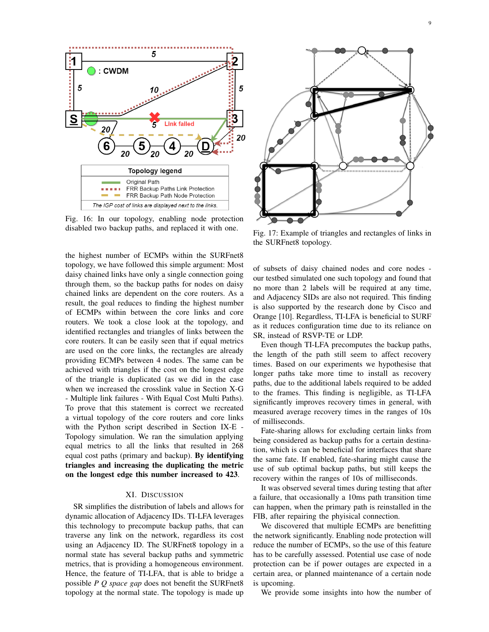<span id="page-8-1"></span>

Fig. 16: In our topology, enabling node protection disabled two backup paths, and replaced it with one.

the highest number of ECMPs within the SURFnet8 topology, we have followed this simple argument: Most daisy chained links have only a single connection going through them, so the backup paths for nodes on daisy chained links are dependent on the core routers. As a result, the goal reduces to finding the highest number of ECMPs within between the core links and core routers. We took a close look at the topology, and identified rectangles and triangles of links between the core routers. It can be easily seen that if equal metrics are used on the core links, the rectangles are already providing ECMPs between 4 nodes. The same can be achieved with triangles if the cost on the longest edge of the triangle is duplicated (as we did in the case when we increased the crosslink value in Section [X-G](#page-6-3) - Multiple link failures - With Equal Cost Multi Paths). To prove that this statement is correct we recreated a virtual topology of the core routers and core links with the Python script described in Section [IX-E](#page-4-4) - Topology simulation. We ran the simulation applying equal metrics to all the links that resulted in 268 equal cost paths (primary and backup). By identifying triangles and increasing the duplicating the metric on the longest edge this number increased to 423.

## XI. DISCUSSION

<span id="page-8-0"></span>SR simplifies the distribution of labels and allows for dynamic allocation of Adjacency IDs. TI-LFA leverages this technology to precompute backup paths, that can traverse any link on the network, regardless its cost using an Adjacency ID. The SURFnet8 topology in a normal state has several backup paths and symmetric metrics, that is providing a homogeneous environment. Hence, the feature of TI-LFA, that is able to bridge a possible *P Q space gap* does not benefit the SURFnet8 topology at the normal state. The topology is made up



Fig. 17: Example of triangles and rectangles of links in the SURFnet8 topology.

of subsets of daisy chained nodes and core nodes our testbed simulated one such topology and found that no more than 2 labels will be required at any time, and Adjacency SIDs are also not required. This finding is also supported by the research done by Cisco and Orange [\[10\]](#page-10-18). Regardless, TI-LFA is beneficial to SURF as it reduces configuration time due to its reliance on SR, instead of RSVP-TE or LDP.

Even though TI-LFA precomputes the backup paths, the length of the path still seem to affect recovery times. Based on our experiments we hypothesise that longer paths take more time to install as recovery paths, due to the additional labels required to be added to the frames. This finding is negligible, as TI-LFA significantly improves recovery times in general, with measured average recovery times in the ranges of 10s of milliseconds.

Fate-sharing allows for excluding certain links from being considered as backup paths for a certain destination, which is can be beneficial for interfaces that share the same fate. If enabled, fate-sharing might cause the use of sub optimal backup paths, but still keeps the recovery within the ranges of 10s of milliseconds.

It was observed several times during testing that after a failure, that occasionally a 10ms path transition time can happen, when the primary path is reinstalled in the FIB, after repairing the phyisical connection.

We discovered that multiple ECMPs are benefitting the network significantly. Enabling node protection will reduce the number of ECMPs, so the use of this feature has to be carefully assessed. Potential use case of node protection can be if power outages are expected in a certain area, or planned maintenance of a certain node is upcoming.

We provide some insights into how the number of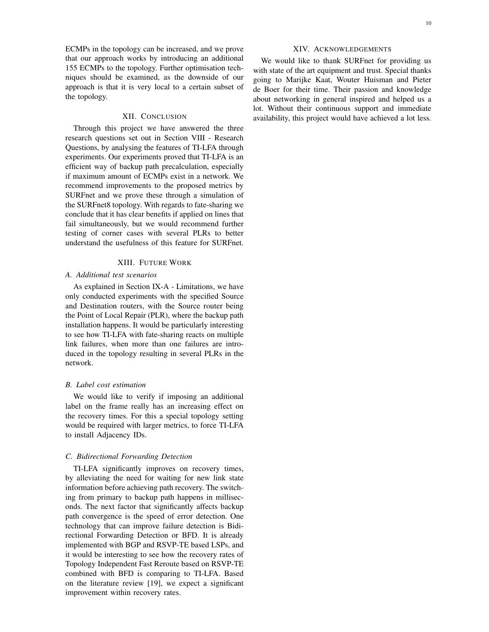#### XII. CONCLUSION

<span id="page-9-0"></span>Through this project we have answered the three research questions set out in Section [VIII](#page-3-1) - Research Questions, by analysing the features of TI-LFA through experiments. Our experiments proved that TI-LFA is an efficient way of backup path precalculation, especially if maximum amount of ECMPs exist in a network. We recommend improvements to the proposed metrics by SURFnet and we prove these through a simulation of the SURFnet8 topology. With regards to fate-sharing we conclude that it has clear benefits if applied on lines that fail simultaneously, but we would recommend further testing of corner cases with several PLRs to better understand the usefulness of this feature for SURFnet.

#### XIII. FUTURE WORK

## <span id="page-9-1"></span>*A. Additional test scenarios*

As explained in Section [IX-A](#page-3-5) - Limitations, we have only conducted experiments with the specified Source and Destination routers, with the Source router being the Point of Local Repair (PLR), where the backup path installation happens. It would be particularly interesting to see how TI-LFA with fate-sharing reacts on multiple link failures, when more than one failures are introduced in the topology resulting in several PLRs in the network.

#### *B. Label cost estimation*

We would like to verify if imposing an additional label on the frame really has an increasing effect on the recovery times. For this a special topology setting would be required with larger metrics, to force TI-LFA to install Adjacency IDs.

#### *C. Bidirectional Forwarding Detection*

TI-LFA significantly improves on recovery times, by alleviating the need for waiting for new link state information before achieving path recovery. The switching from primary to backup path happens in milliseconds. The next factor that significantly affects backup path convergence is the speed of error detection. One technology that can improve failure detection is Bidirectional Forwarding Detection or BFD. It is already implemented with BGP and RSVP-TE based LSPs, and it would be interesting to see how the recovery rates of Topology Independent Fast Reroute based on RSVP-TE combined with BFD is comparing to TI-LFA. Based on the literature review [\[19\]](#page-10-3), we expect a significant improvement within recovery rates.

# XIV. ACKNOWLEDGEMENTS

We would like to thank SURFnet for providing us with state of the art equipment and trust. Special thanks going to Marijke Kaat, Wouter Huisman and Pieter de Boer for their time. Their passion and knowledge about networking in general inspired and helped us a lot. Without their continuous support and immediate availability, this project would have achieved a lot less.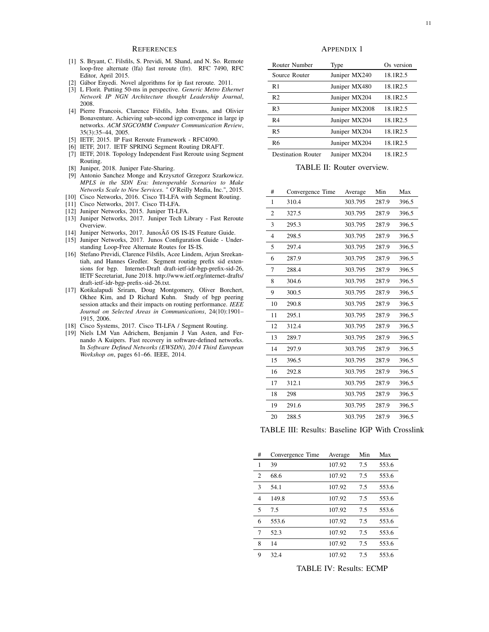#### **REFERENCES**

- <span id="page-10-17"></span>[1] S. Bryant, C. Filsfils, S. Previdi, M. Shand, and N. So. Remote loop-free alternate (lfa) fast reroute (frr). RFC 7490, RFC Editor, April 2015.
- <span id="page-10-10"></span>[2] Gábor Enyedi. Novel algorithms for ip fast reroute. 2011.
- <span id="page-10-2"></span>[3] L Florit. Putting 50-ms in perspective. *Generic Metro Ethernet Network IP NGN Architecture thought Leadership Journal*, 2008.
- <span id="page-10-1"></span>[4] Pierre Francois, Clarence Filsfils, John Evans, and Olivier Bonaventure. Achieving sub-second igp convergence in large ip networks. *ACM SIGCOMM Computer Communication Review*, 35(3):35–44, 2005.
- <span id="page-10-4"></span>[5] IETF, 2015. IP Fast Reroute Framework - RFC4090.
- <span id="page-10-7"></span>[6] IETF, 2017. IETF SPRING Segment Routing DRAFT.
- <span id="page-10-5"></span>[7] IETF, 2018. Topology Independent Fast Reroute using Segment Routing.
- <span id="page-10-9"></span>[8] Juniper, 2018. Juniper Fate-Sharing.
- <span id="page-10-0"></span>[9] Antonio Sanchez Monge and Krzysztof Grzegorz Szarkowicz. *MPLS in the SDN Era: Interoperable Scenarios to Make Networks Scale to New Services*. " O'Reilly Media, Inc.", 2015.
- <span id="page-10-18"></span>[10] Cisco Networks, 2016. Cisco TI-LFA with Segment Routing. [11] Cisco Networks, 2017. Cisco TI-LFA.
- <span id="page-10-16"></span><span id="page-10-8"></span>[12] Juniper Networks, 2015. Juniper TI-LFA.
- <span id="page-10-11"></span>[13] Juniper Networks, 2017. Juniper Tech Library - Fast Reroute Overview.
- <span id="page-10-12"></span>[14] Juniper Networks, 2017. JunosÂő OS IS-IS Feature Guide.
- <span id="page-10-13"></span>[15] Juniper Networks, 2017. Junos Configuration Guide - Understanding Loop-Free Alternate Routes for IS-IS.
- <span id="page-10-14"></span>[16] Stefano Previdi, Clarence Filsfils, Acee Lindem, Arjun Sreekantiah, and Hannes Gredler. Segment routing prefix sid extensions for bgp. Internet-Draft draft-ietf-idr-bgp-prefix-sid-26, IETF Secretariat, June 2018. [http://www.ietf.org/internet-drafts/](http://www.ietf.org/internet-drafts/draft-ietf-idr-bgp-prefix-sid-26.txt) [draft-ietf-idr-bgp-prefix-sid-26.txt.](http://www.ietf.org/internet-drafts/draft-ietf-idr-bgp-prefix-sid-26.txt)
- <span id="page-10-6"></span>[17] Kotikalapudi Sriram, Doug Montgomery, Oliver Borchert, Okhee Kim, and D Richard Kuhn. Study of bgp peering session attacks and their impacts on routing performance. *IEEE Journal on Selected Areas in Communications*, 24(10):1901– 1915, 2006.
- <span id="page-10-15"></span>[18] Cisco Systems, 2017. Cisco TI-LFA / Segment Routing.
- <span id="page-10-3"></span>[19] Niels LM Van Adrichem, Benjamin J Van Asten, and Fernando A Kuipers. Fast recovery in software-defined networks. In *Software Defined Networks (EWSDN), 2014 Third European Workshop on*, pages 61–66. IEEE, 2014.

APPENDIX 1

| Router Number             | Type           | Os version |
|---------------------------|----------------|------------|
| Source Router             | Juniper MX240  | 18.1R2.5   |
| R1                        | Juniper MX480  | 18.1R2.5   |
| R <sub>2</sub>            | Juniper MX204  | 18.1R2.5   |
| R <sub>3</sub>            | Juniper MX2008 | 18.1R2.5   |
| R <sub>4</sub>            | Juniper MX204  | 18.1R2.5   |
| R <sub>5</sub>            | Juniper MX204  | 18.1R2.5   |
| R6                        | Juniper MX204  | 18.1R2.5   |
| <b>Destination Router</b> | Juniper MX204  | 18.1R2.5   |

TABLE II: Router overview.

| #  | Convergence Time | Average | Min   | Max   |
|----|------------------|---------|-------|-------|
| 1  | 310.4            | 303.795 | 287.9 | 396.5 |
| 2  | 327.5            | 303.795 | 287.9 | 396.5 |
| 3  | 295.3            | 303.795 | 287.9 | 396.5 |
| 4  | 298.5            | 303.795 | 287.9 | 396.5 |
| 5  | 297.4            | 303.795 | 287.9 | 396.5 |
| 6  | 287.9            | 303.795 | 287.9 | 396.5 |
| 7  | 288.4            | 303.795 | 287.9 | 396.5 |
| 8  | 304.6            | 303.795 | 287.9 | 396.5 |
| 9  | 300.5            | 303.795 | 287.9 | 396.5 |
| 10 | 290.8            | 303.795 | 287.9 | 396.5 |
| 11 | 295.1            | 303.795 | 287.9 | 396.5 |
| 12 | 312.4            | 303.795 | 287.9 | 396.5 |
| 13 | 289.7            | 303.795 | 287.9 | 396.5 |
| 14 | 297.9            | 303.795 | 287.9 | 396.5 |
| 15 | 396.5            | 303.795 | 287.9 | 396.5 |
| 16 | 292.8            | 303.795 | 287.9 | 396.5 |
| 17 | 312.1            | 303.795 | 287.9 | 396.5 |
| 18 | 298              | 303.795 | 287.9 | 396.5 |
| 19 | 291.6            | 303.795 | 287.9 | 396.5 |
| 20 | 288.5            | 303.795 | 287.9 | 396.5 |

TABLE III: Results: Baseline IGP With Crosslink

| #              | Convergence Time | Average | Min | Max   |
|----------------|------------------|---------|-----|-------|
| 1              | 39               | 107.92  | 7.5 | 553.6 |
| 2              | 68.6             | 107.92  | 7.5 | 553.6 |
| 3              | 54.1             | 107.92  | 7.5 | 553.6 |
| $\overline{4}$ | 149.8            | 107.92  | 7.5 | 553.6 |
| 5              | 7.5              | 107.92  | 7.5 | 553.6 |
| 6              | 553.6            | 107.92  | 7.5 | 553.6 |
| 7              | 52.3             | 107.92  | 7.5 | 553.6 |
| 8              | 14               | 107.92  | 7.5 | 553.6 |
| 9              | 32.4             | 107.92  | 7.5 | 553.6 |

TABLE IV: Results: ECMP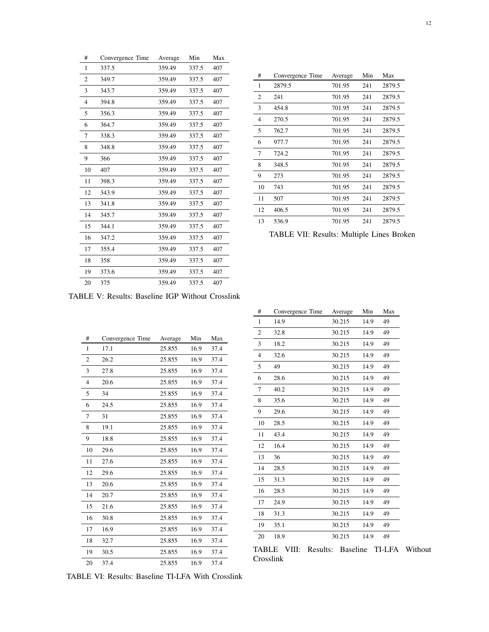| #  | Convergence Time | Average | Min   | Max |
|----|------------------|---------|-------|-----|
| 1  | 337.5            | 359.49  | 337.5 | 407 |
| 2  | 349.7            | 359.49  | 337.5 | 407 |
| 3  | 343.7            | 359.49  | 337.5 | 407 |
| 4  | 394.8            | 359.49  | 337.5 | 407 |
| 5  | 356.3            | 359.49  | 337.5 | 407 |
| 6  | 364.7            | 359.49  | 337.5 | 407 |
| 7  | 338.3            | 359.49  | 337.5 | 407 |
| 8  | 348.8            | 359.49  | 337.5 | 407 |
| 9  | 366              | 359.49  | 337.5 | 407 |
| 10 | 407              | 359.49  | 337.5 | 407 |
| 11 | 398.3            | 359.49  | 337.5 | 407 |
| 12 | 343.9            | 359.49  | 337.5 | 407 |
| 13 | 341.8            | 359.49  | 337.5 | 407 |
| 14 | 345.7            | 359.49  | 337.5 | 407 |
| 15 | 344.1            | 359.49  | 337.5 | 407 |
| 16 | 347.2            | 359.49  | 337.5 | 407 |
| 17 | 355.4            | 359.49  | 337.5 | 407 |
| 18 | 358              | 359.49  | 337.5 | 407 |
| 19 | 373.6            | 359.49  | 337.5 | 407 |
| 20 | 375              | 359.49  | 337.5 | 407 |

| #  | Convergence Time | Average | Min | Max    |
|----|------------------|---------|-----|--------|
| 1  | 2879.5           | 701.95  | 241 | 2879.5 |
| 2  | 241              | 701.95  | 241 | 2879.5 |
| 3  | 454.8            | 701.95  | 241 | 2879.5 |
| 4  | 270.5            | 701.95  | 241 | 2879.5 |
| 5  | 762.7            | 701.95  | 241 | 2879.5 |
| 6  | 977.7            | 701.95  | 241 | 2879.5 |
| 7  | 724.2            | 701.95  | 241 | 2879.5 |
| 8  | 348.5            | 701.95  | 241 | 2879.5 |
| 9  | 273              | 701.95  | 241 | 2879.5 |
| 10 | 743              | 701.95  | 241 | 2879.5 |
| 11 | 507              | 701.95  | 241 | 2879.5 |
| 12 | 406.5            | 701.95  | 241 | 2879.5 |
| 13 | 536.9            | 701.95  | 241 | 2879.5 |

TABLE VII: Results: Multiple Lines Broken

TABLE V: Results: Baseline IGP Without Crosslink

| #              | Convergence Time | Average | Min  | Max  |
|----------------|------------------|---------|------|------|
| 1              | 17.1             | 25.855  | 16.9 | 37.4 |
| 2              | 26.2             | 25.855  | 16.9 | 37.4 |
| 3              | 27.8             | 25.855  | 16.9 | 37.4 |
| $\overline{4}$ | 20.6             | 25.855  | 16.9 | 37.4 |
| 5              | 34               | 25.855  | 16.9 | 37.4 |
| 6              | 24.5             | 25.855  | 16.9 | 37.4 |
| 7              | 31               | 25.855  | 16.9 | 37.4 |
| 8              | 19.1             | 25.855  | 16.9 | 37.4 |
| 9              | 18.8             | 25.855  | 16.9 | 37.4 |
| 10             | 29.6             | 25.855  | 16.9 | 37.4 |
| 11             | 27.6             | 25.855  | 16.9 | 37.4 |
| 12             | 29.6             | 25.855  | 16.9 | 37.4 |
| 13             | 20.6             | 25.855  | 16.9 | 37.4 |
| 14             | 20.7             | 25.855  | 16.9 | 37.4 |
| 15             | 21.6             | 25.855  | 16.9 | 37.4 |
| 16             | 30.8             | 25.855  | 16.9 | 37.4 |
| 17             | 16.9             | 25.855  | 16.9 | 37.4 |
| 18             | 32.7             | 25.855  | 16.9 | 37.4 |
| 19             | 30.5             | 25.855  | 16.9 | 37.4 |
| 20             | 37.4             | 25.855  | 16.9 | 37.4 |

TABLE VI: Results: Baseline TI-LFA With Crosslink

| #              | Convergence Time | Average | Min  | Max |
|----------------|------------------|---------|------|-----|
| 1              | 14.9             | 30.215  | 14.9 | 49  |
| $\overline{2}$ | 32.8             | 30.215  | 14.9 | 49  |
| 3              | 18.2             | 30.215  | 14.9 | 49  |
| 4              | 32.6             | 30.215  | 14.9 | 49  |
| 5              | 49               | 30.215  | 14.9 | 49  |
| 6              | 28.6             | 30.215  | 14.9 | 49  |
| 7              | 40.2             | 30.215  | 14.9 | 49  |
| 8              | 35.6             | 30.215  | 14.9 | 49  |
| 9              | 29.6             | 30.215  | 14.9 | 49  |
| 10             | 28.5             | 30.215  | 14.9 | 49  |
| 11             | 43.4             | 30.215  | 14.9 | 49  |
| 12             | 16.4             | 30.215  | 14.9 | 49  |
| 13             | 36               | 30.215  | 14.9 | 49  |
| 14             | 28.5             | 30.215  | 14.9 | 49  |
| 15             | 31.3             | 30.215  | 14.9 | 49  |
| 16             | 28.5             | 30.215  | 14.9 | 49  |
| 17             | 24.9             | 30.215  | 14.9 | 49  |
| 18             | 31.3             | 30.215  | 14.9 | 49  |
| 19             | 35.1             | 30.215  | 14.9 | 49  |
| 20             | 18.9             | 30.215  | 14.9 | 49  |

TABLE VIII: Results: Baseline TI-LFA Without Crosslink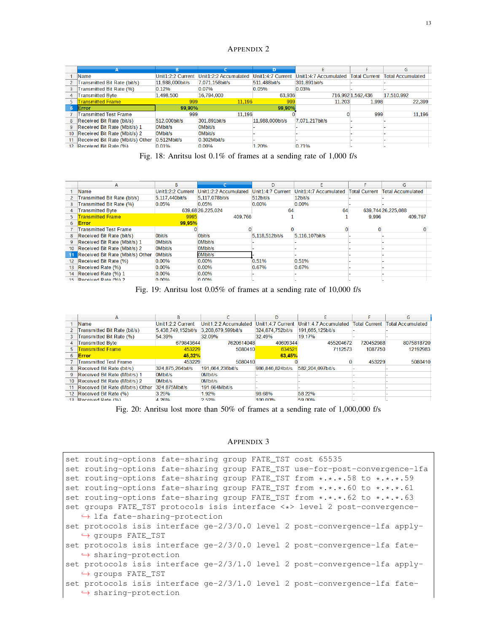# APPENDIX 2

|                 |                                  |                   |                       |                   |                       |                      | G                        |
|-----------------|----------------------------------|-------------------|-----------------------|-------------------|-----------------------|----------------------|--------------------------|
|                 | Name                             | Unit1:2:2 Current | Unit1:2:2 Accumulated | Unit1:4:7 Current | Unit1:4:7 Accumulated | <b>Total Current</b> | <b>Total Accumulated</b> |
|                 | Transmitted Bit Rate (bit/s)     | 11.988.000bit/s   | 7.071.158bit/s        | 511.488bit/s      | 301.891bit/s          |                      |                          |
|                 | Transmitted Bit Rate (%)         | 0.12%             | 0.07%                 | 0.05%             | 0.03%                 |                      |                          |
| 4               | <b>Transmitted Byte</b>          | 1,498,500         | 16,794,000            | 63,936            |                       | 716.992 1.562.436    | 17,510,992               |
|                 | <b>Fransmitted Frame</b>         | 999               | 11.196                | 999               | 11.203                | 1.998                | 22.399                   |
| 6.              | Error                            | 99.90%            |                       | 99,90%            |                       |                      |                          |
|                 | <b>Transmitted Test Frame</b>    | 999               | 11.196                |                   |                       | 999                  | 11.196                   |
| 8               | Received Bit Rate (bit/s)        | 512.000bit/s      | 301.891bit/s          | 11.988.000bit/s   | 7.071.217bit/s        |                      |                          |
| 9               | Received Bit Rate (Mbit/s) 1     | 0Mbit/s           | <b>OMbit/s</b>        |                   |                       |                      |                          |
| 10 <sup>°</sup> | Received Bit Rate (Mbit/s) 2     | 0Mbit/s           | 0Mbit/s               |                   |                       |                      |                          |
| 11              | Received Bit Rate (Mbit/s) Other | $0.512M$ bit/s    | $0.302M$ bit/s        |                   |                       |                      |                          |
| 12 <sub>1</sub> | Received Bit Rate (%)            | 0.01%             | $0.00\%$              | 1.20%             | 0.71%                 |                      |                          |

Fig. 18: Anritsu lost 0.1% of frames at a sending rate of 1,000 f/s

|                 | А                                | B.                |                       | D                 | F                                   |       | G                        |
|-----------------|----------------------------------|-------------------|-----------------------|-------------------|-------------------------------------|-------|--------------------------|
|                 | Name                             | Unit1:2:2 Current | Unit1:2:2 Accumulated | Unit1:4:7 Current | Unit1:4:7 Accumulated Total Current |       | <b>Total Accumulated</b> |
|                 | Transmitted Bit Rate (bit/s)     | 5.117.440bit/s    | 5.117.078bit/s        | $512$ bit/s       | 12bit/s                             |       |                          |
|                 | Transmitted Bit Rate (%)         | 0.05%             | 0.05%                 | 0.00%             | 0.00%                               |       |                          |
| 4               | <b>Transmitted Byte</b>          |                   | 639,68 26,225,024     | 64                | 64                                  |       | 639,744 26,225,088       |
|                 | <b>Transmitted Frame</b>         | 9995              | 409,766               |                   |                                     | 9,996 | 409.767                  |
| 6.              | <b>Error</b>                     | 99,95%            |                       |                   |                                     |       |                          |
|                 | <b>Transmitted Test Frame</b>    |                   |                       |                   |                                     |       |                          |
| 8               | Received Bit Rate (bit/s)        | Obit/s            | Obit/s                | 5.118.512bit/s    | 5.116.107bit/s                      |       |                          |
| 9               | Received Bit Rate (Mbit/s) 1     | OMbit/s           | OM bit/s              |                   |                                     |       |                          |
| 10 <sup>°</sup> | Received Bit Rate (Mbit/s) 2     | OMbit/s           | OMbit/s               |                   |                                     |       |                          |
| 11              | Received Bit Rate (Mbit/s) Other | OMbit/s           | <b>OMbit/s</b>        |                   |                                     |       |                          |
|                 | 12 Received Bit Rate (%)         | 0.00%             | 0.00%                 | 0.51%             | 0.51%                               |       |                          |
|                 | 13 Received Rate (%)             | 0.00%             | 0.00%                 | 0.67%             | 0.67%                               |       |                          |
|                 | 14 Received Rate (%) 1           | $0.00\%$          | $0.00\%$              |                   |                                     |       |                          |
|                 | 15 Received Rate (%) 2           | n nn <sub>%</sub> | 0.00%                 |                   |                                     |       |                          |

Fig. 19: Anritsu lost 0.05% of frames at a sending rate of 10,000 f/s

|                 | А                                | B                  |                       | D                 |                       |                      | G                        |
|-----------------|----------------------------------|--------------------|-----------------------|-------------------|-----------------------|----------------------|--------------------------|
|                 | Name                             | Unit1:2:2 Current  | Unit1:2:2 Accumulated | Unit1:4:7 Current | Unit1:4:7 Accumulated | <b>Total Current</b> | <b>Total Accumulated</b> |
|                 | Transmitted Bit Rate (bit/s)     | 5.438.749.152bit/s | 3.208.679.599bit/s    | 324.874.752bit/s  | 191.665.125bit/s      |                      |                          |
|                 | Transmitted Bit Rate (%)         | 54.39%             | 32.09%                | 32.49%            | 19.17%                |                      |                          |
| 4               | <b>Transmitted Byte</b>          | 679843644          | 7620614048            | 40609344          | 455204672             | 720452988            | 8075818720               |
|                 | <b>Transmitted Frame</b>         | 453229             | 5080410               | 634521            | 7112573               | 1087750              | 12192983                 |
| 6               | <b>Error</b>                     | 45,32%             |                       | 63,45%            |                       |                      |                          |
|                 | <b>Transmitted Test Frame</b>    | 453229             | 5080410               |                   |                       | 453229               | 5080410                  |
| 8               | Received Bit Rate (bit/s)        | 324.875.264bit/s   | 191.664.236bit/s      | 986.846.824bit/s  | 582.204.097bit/s      |                      |                          |
| 9               | Received Bit Rate (Mbit/s) 1     | 0Mbit/s            | 0Mbit/s               |                   |                       |                      |                          |
| 10 <sup>1</sup> | Received Bit Rate (Mbit/s) 2     | 0Mbit/s            | 0Mbit/s               |                   |                       |                      |                          |
| 11              | Received Bit Rate (Mbit/s) Other | 324.875Mbit/s      | 191.664Mbit/s         |                   |                       |                      |                          |
|                 | 12 Received Bit Rate (%)         | 3.25%              | 1.92%                 | 98.68%            | 58.22%                |                      |                          |
|                 | 13 Received Rate (%)             | $A$ 26%            | 252%                  | 100,00%           | 50 00%                |                      |                          |

Fig. 20: Anritsu lost more than 50% of frames at a sending rate of 1,000,000 f/s

# APPENDIX 3

| set routing-options fate-sharing group FATE_TST cost 65535                    |
|-------------------------------------------------------------------------------|
| set routing-options fate-sharing group FATE_TST use-for-post-convergence-lfa  |
| set routing-options fate-sharing group FATE_TST from *.*.*.58 to *.*.*.59     |
| set routing-options fate-sharing group FATE_TST from *.*.*.60 to *.*.*.61     |
| set routing-options fate-sharing group FATE_TST from *.*.*.62 to *.*.*.63     |
| set groups FATE TST protocols isis interface <*> level 2 post-convergence-    |
| $\leftrightarrow$ lfa fate-sharing-protection                                 |
| set protocols isis interface $qe-2/3/0.0$ level 2 post-convergence-lfa apply- |
| → groups FATE_TST                                                             |
| set protocols isis interface qe-2/3/0.0 level 2 post-convergence-lfa fate-    |
| $\leftrightarrow$ sharing-protection                                          |
| set protocols isis interface $qe-2/3/1.0$ level 2 post-convergence-lfa apply- |
| $\leftrightarrow$ groups FATE TST                                             |
| set protocols isis interface ge-2/3/1.0 level 2 post-convergence-lfa fate-    |
| $\leftrightarrow$ sharing-protection                                          |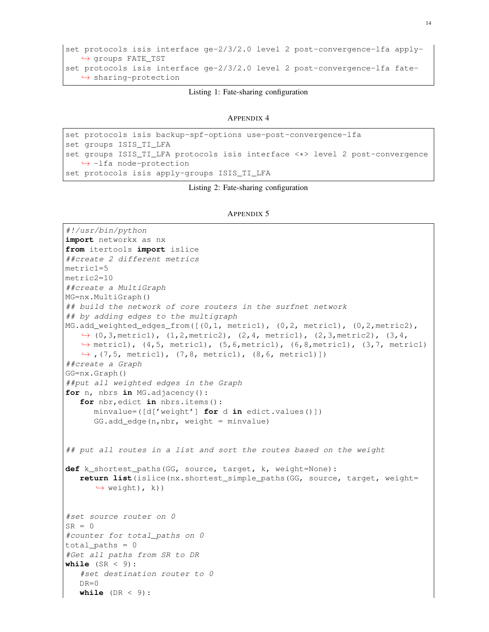```
set protocols isis interface ge-2/3/2.0 level 2 post-convergence-lfa apply-
   ,→ groups FATE_TST
set protocols isis interface ge-2/3/2.0 level 2 post-convergence-lfa fate-
   \leftrightarrow sharing-protection
```
### Listing 1: Fate-sharing configuration

```
APPENDIX 4
```

```
set protocols isis backup-spf-options use-post-convergence-lfa
set groups ISIS_TI_LFA
set groups ISIS_TI_LFA protocols isis interface <*> level 2 post-convergence
   \rightarrow -lfa node-protection
set protocols isis apply-groups ISIS_TI_LFA
```
Listing 2: Fate-sharing configuration

```
APPENDIX 5
```

```
#!/usr/bin/python
import networkx as nx
from itertools import islice
##create 2 different metrics
metric1=5
metric2=10
##create a MultiGraph
MG=nx.MultiGraph()
## build the network of core routers in the surfnet network
## by adding edges to the multigraph
MG.add_weighted_edges_from([(0,1, metric1), (0,2, metric1), (0,2, metric2),
   \rightarrow (0,3, metric1), (1,2, metric2), (2,4, metric1), (2,3, metric2), (3,4,
   \rightarrow metric1), (4,5, metric1), (5,6, metric1), (6,8, metric1), (3,7, metric1)
   \leftrightarrow, (7,5, metric1), (7,8, metric1), (8,6, metric1)])
##create a Graph
GG=nx.Graph()
##put all weighted edges in the Graph
for n, nbrs in MG.adjacency():
   for nbr,edict in nbrs.items():
      minvalue=([d['weight'] for d in edict.values()])
      GG.add_edge(n,nbr, weight = minvalue)
## put all routes in a list and sort the routes based on the weight
def k_shortest_paths(GG, source, target, k, weight=None):
  return list(islice(nx.shortest_simple_paths(GG, source, target, weight=
      \leftrightarrow weight), k))
#set source router on 0
SR = 0#counter for total_paths on 0
total paths = 0#Get all paths from SR to DR
while (SR < 9):
   #set destination router to 0
   DR=0
```
**while** (DR < 9):